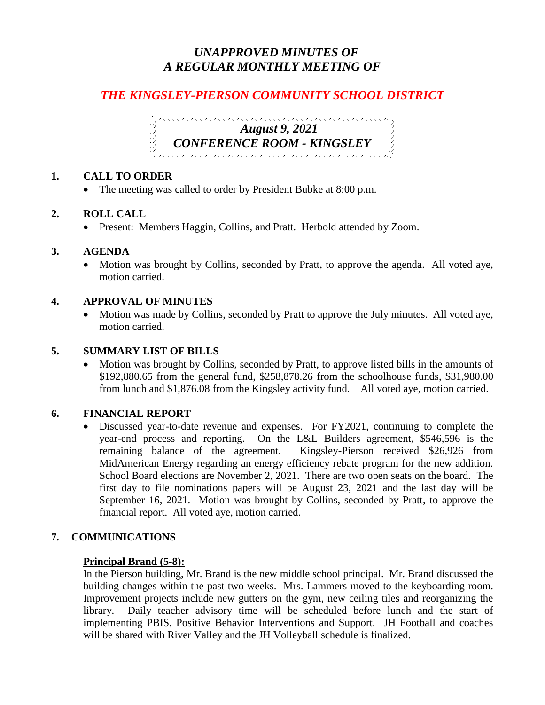# *UNAPPROVED MINUTES OF A REGULAR MONTHLY MEETING OF*

# *THE KINGSLEY-PIERSON COMMUNITY SCHOOL DISTRICT*

*August 9, 2021 CONFERENCE ROOM - KINGSLEY* 

# **1. CALL TO ORDER**

• The meeting was called to order by President Bubke at 8:00 p.m.

## **2. ROLL CALL**

• Present: Members Haggin, Collins, and Pratt. Herbold attended by Zoom.

## **3. AGENDA**

• Motion was brought by Collins, seconded by Pratt, to approve the agenda. All voted aye, motion carried.

# **4. APPROVAL OF MINUTES**

• Motion was made by Collins, seconded by Pratt to approve the July minutes. All voted aye, motion carried.

#### **5. SUMMARY LIST OF BILLS**

 Motion was brought by Collins, seconded by Pratt, to approve listed bills in the amounts of \$192,880.65 from the general fund, \$258,878.26 from the schoolhouse funds, \$31,980.00 from lunch and \$1,876.08 from the Kingsley activity fund. All voted aye, motion carried.

## **6. FINANCIAL REPORT**

 Discussed year-to-date revenue and expenses. For FY2021, continuing to complete the year-end process and reporting. On the L&L Builders agreement, \$546,596 is the remaining balance of the agreement. Kingsley-Pierson received \$26,926 from MidAmerican Energy regarding an energy efficiency rebate program for the new addition. School Board elections are November 2, 2021. There are two open seats on the board. The first day to file nominations papers will be August 23, 2021 and the last day will be September 16, 2021. Motion was brought by Collins, seconded by Pratt, to approve the financial report. All voted aye, motion carried.

#### **7. COMMUNICATIONS**

#### **Principal Brand (5-8):**

In the Pierson building, Mr. Brand is the new middle school principal. Mr. Brand discussed the building changes within the past two weeks. Mrs. Lammers moved to the keyboarding room. Improvement projects include new gutters on the gym, new ceiling tiles and reorganizing the library. Daily teacher advisory time will be scheduled before lunch and the start of implementing PBIS, Positive Behavior Interventions and Support. JH Football and coaches will be shared with River Valley and the JH Volleyball schedule is finalized.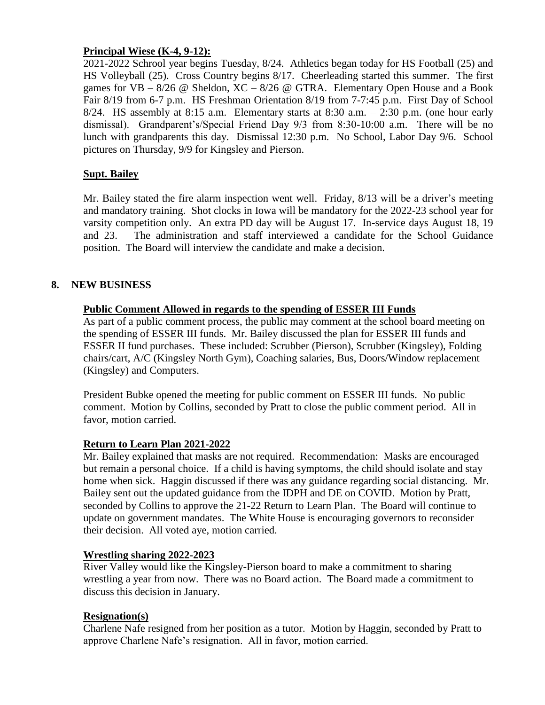## **Principal Wiese (K-4, 9-12):**

2021-2022 Schrool year begins Tuesday, 8/24. Athletics began today for HS Football (25) and HS Volleyball (25). Cross Country begins 8/17. Cheerleading started this summer. The first games for  $VB - 8/26$  @ Sheldon,  $XC - 8/26$  @ GTRA. Elementary Open House and a Book Fair 8/19 from 6-7 p.m. HS Freshman Orientation 8/19 from 7-7:45 p.m. First Day of School 8/24. HS assembly at 8:15 a.m. Elementary starts at 8:30 a.m.  $-$  2:30 p.m. (one hour early dismissal). Grandparent's/Special Friend Day 9/3 from 8:30-10:00 a.m. There will be no lunch with grandparents this day. Dismissal 12:30 p.m. No School, Labor Day 9/6. School pictures on Thursday, 9/9 for Kingsley and Pierson.

# **Supt. Bailey**

Mr. Bailey stated the fire alarm inspection went well. Friday, 8/13 will be a driver's meeting and mandatory training. Shot clocks in Iowa will be mandatory for the 2022-23 school year for varsity competition only. An extra PD day will be August 17. In-service days August 18, 19 and 23. The administration and staff interviewed a candidate for the School Guidance position. The Board will interview the candidate and make a decision.

## **8. NEW BUSINESS**

## **Public Comment Allowed in regards to the spending of ESSER III Funds**

As part of a public comment process, the public may comment at the school board meeting on the spending of ESSER III funds. Mr. Bailey discussed the plan for ESSER III funds and ESSER II fund purchases. These included: Scrubber (Pierson), Scrubber (Kingsley), Folding chairs/cart, A/C (Kingsley North Gym), Coaching salaries, Bus, Doors/Window replacement (Kingsley) and Computers.

President Bubke opened the meeting for public comment on ESSER III funds. No public comment. Motion by Collins, seconded by Pratt to close the public comment period. All in favor, motion carried.

#### **Return to Learn Plan 2021-2022**

Mr. Bailey explained that masks are not required. Recommendation: Masks are encouraged but remain a personal choice. If a child is having symptoms, the child should isolate and stay home when sick. Haggin discussed if there was any guidance regarding social distancing. Mr. Bailey sent out the updated guidance from the IDPH and DE on COVID. Motion by Pratt, seconded by Collins to approve the 21-22 Return to Learn Plan. The Board will continue to update on government mandates. The White House is encouraging governors to reconsider their decision. All voted aye, motion carried.

#### **Wrestling sharing 2022-2023**

River Valley would like the Kingsley-Pierson board to make a commitment to sharing wrestling a year from now. There was no Board action. The Board made a commitment to discuss this decision in January.

#### **Resignation(s)**

Charlene Nafe resigned from her position as a tutor. Motion by Haggin, seconded by Pratt to approve Charlene Nafe's resignation. All in favor, motion carried.